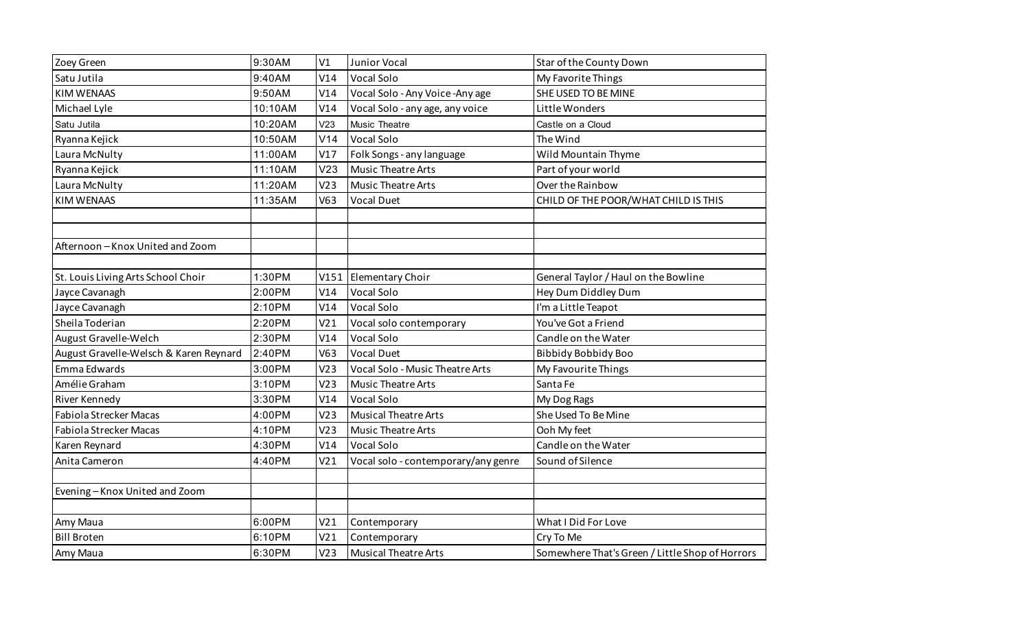| Zoey Green                             | 9:30AM  | V1              | Junior Vocal                        | Star of the County Down                         |
|----------------------------------------|---------|-----------------|-------------------------------------|-------------------------------------------------|
| Satu Jutila                            | 9:40AM  | V14             | <b>Vocal Solo</b>                   | My Favorite Things                              |
| <b>KIM WENAAS</b>                      | 9:50AM  | V14             | Vocal Solo - Any Voice - Any age    | SHE USED TO BE MINE                             |
| Michael Lyle                           | 10:10AM | V14             | Vocal Solo - any age, any voice     | Little Wonders                                  |
| Satu Jutila                            | 10:20AM | V <sub>23</sub> | Music Theatre                       | Castle on a Cloud                               |
| Ryanna Kejick                          | 10:50AM | V14             | Vocal Solo                          | The Wind                                        |
| Laura McNulty                          | 11:00AM | V17             | Folk Songs - any language           | Wild Mountain Thyme                             |
| Ryanna Kejick                          | 11:10AM | V <sub>23</sub> | <b>Music Theatre Arts</b>           | Part of your world                              |
| Laura McNulty                          | 11:20AM | V <sub>23</sub> | <b>Music Theatre Arts</b>           | Over the Rainbow                                |
| <b>KIM WENAAS</b>                      | 11:35AM | V63             | <b>Vocal Duet</b>                   | CHILD OF THE POOR/WHAT CHILD IS THIS            |
|                                        |         |                 |                                     |                                                 |
|                                        |         |                 |                                     |                                                 |
| Afternoon-Knox United and Zoom         |         |                 |                                     |                                                 |
|                                        |         |                 |                                     |                                                 |
| St. Louis Living Arts School Choir     | 1:30PM  | V151            | Elementary Choir                    | General Taylor / Haul on the Bowline            |
| Jayce Cavanagh                         | 2:00PM  | V14             | Vocal Solo                          | Hey Dum Diddley Dum                             |
| Jayce Cavanagh                         | 2:10PM  | V14             | <b>Vocal Solo</b>                   | I'm a Little Teapot                             |
| Sheila Toderian                        | 2:20PM  | V <sub>21</sub> | Vocal solo contemporary             | You've Got a Friend                             |
| August Gravelle-Welch                  | 2:30PM  | V14             | Vocal Solo                          | Candle on the Water                             |
| August Gravelle-Welsch & Karen Reynard | 2:40PM  | V63             | <b>Vocal Duet</b>                   | <b>Bibbidy Bobbidy Boo</b>                      |
| Emma Edwards                           | 3:00PM  | V <sub>23</sub> | Vocal Solo - Music Theatre Arts     | My Favourite Things                             |
| Amélie Graham                          | 3:10PM  | V <sub>23</sub> | <b>Music Theatre Arts</b>           | Santa Fe                                        |
| River Kennedy                          | 3:30PM  | V14             | Vocal Solo                          | My Dog Rags                                     |
| <b>Fabiola Strecker Macas</b>          | 4:00PM  | V <sub>23</sub> | <b>Musical Theatre Arts</b>         | She Used To Be Mine                             |
| Fabiola Strecker Macas                 | 4:10PM  | V <sub>23</sub> | Music Theatre Arts                  | Ooh My feet                                     |
| Karen Reynard                          | 4:30PM  | V14             | Vocal Solo                          | Candle on the Water                             |
| Anita Cameron                          | 4:40PM  | V <sub>21</sub> | Vocal solo - contemporary/any genre | Sound of Silence                                |
|                                        |         |                 |                                     |                                                 |
| Evening-Knox United and Zoom           |         |                 |                                     |                                                 |
|                                        |         |                 |                                     |                                                 |
| Amy Maua                               | 6:00PM  | V <sub>21</sub> | Contemporary                        | What I Did For Love                             |
| <b>Bill Broten</b>                     | 6:10PM  | V <sub>21</sub> | Contemporary                        | Cry To Me                                       |
| Amy Maua                               | 6:30PM  | V <sub>23</sub> | <b>Musical Theatre Arts</b>         | Somewhere That's Green / Little Shop of Horrors |